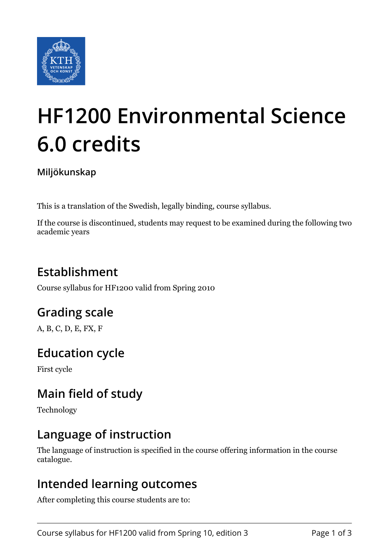

# **HF1200 Environmental Science 6.0 credits**

#### **Miljökunskap**

This is a translation of the Swedish, legally binding, course syllabus.

If the course is discontinued, students may request to be examined during the following two academic years

## **Establishment**

Course syllabus for HF1200 valid from Spring 2010

## **Grading scale**

A, B, C, D, E, FX, F

### **Education cycle**

First cycle

## **Main field of study**

Technology

### **Language of instruction**

The language of instruction is specified in the course offering information in the course catalogue.

#### **Intended learning outcomes**

After completing this course students are to: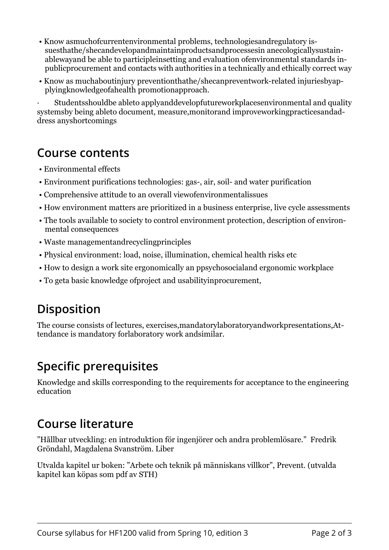- Know asmuchofcurrentenvironmental problems, technologiesandregulatory issuesthathe/shecandevelopandmaintainproductsandprocessesin anecologicallysustainablewayand be able to participleinsetting and evaluation ofenvironmental standards inpublicprocurement and contacts with authorities in a technically and ethically correct way
- Know as muchaboutinjury preventionthathe/shecanpreventwork-related injuriesbyapplyingknowledgeofahealth promotionapproach.

· Studentsshouldbe ableto applyanddevelopfutureworkplacesenvironmental and quality systemsby being ableto document, measure,monitorand improveworkingpracticesandaddress anyshortcomings

#### **Course contents**

- Environmental effects
- Environment purifications technologies: gas-, air, soil- and water purification
- Comprehensive attitude to an overall viewofenvironmentalissues
- How environment matters are prioritized in a business enterprise, live cycle assessments
- The tools available to society to control environment protection, description of environmental consequences
- Waste managementandrecyclingprinciples
- Physical environment: load, noise, illumination, chemical health risks etc
- How to design a work site ergonomically an ppsychosocialand ergonomic workplace
- To geta basic knowledge ofproject and usabilityinprocurement,

## **Disposition**

The course consists of lectures, exercises,mandatorylaboratoryandworkpresentations,Attendance is mandatory forlaboratory work andsimilar.

## **Specific prerequisites**

Knowledge and skills corresponding to the requirements for acceptance to the engineering education

### **Course literature**

"Hållbar utveckling: en introduktion för ingenjörer och andra problemlösare." Fredrik Gröndahl, Magdalena Svanström. Liber

Utvalda kapitel ur boken: "Arbete och teknik på människans villkor", Prevent. (utvalda kapitel kan köpas som pdf av STH)